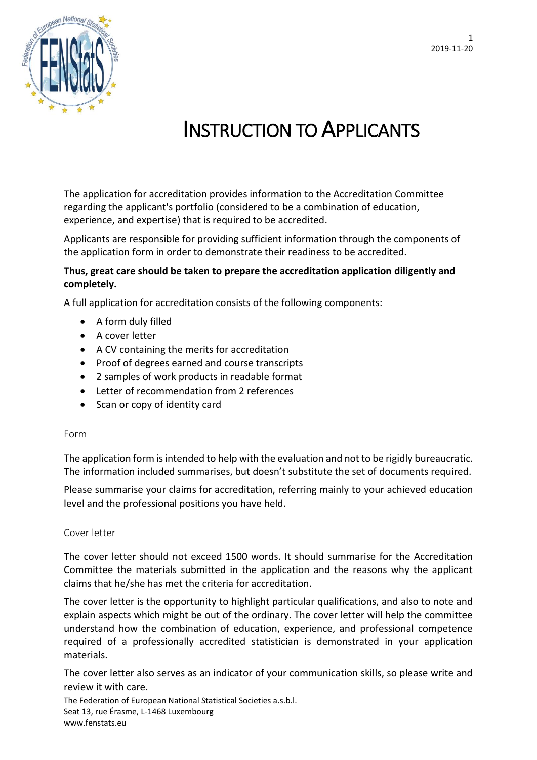1 2019-11-20



# INSTRUCTION TO APPLICANTS

The application for accreditation provides information to the Accreditation Committee regarding the applicant's portfolio (considered to be a combination of education, experience, and expertise) that is required to be accredited.

Applicants are responsible for providing sufficient information through the components of the application form in order to demonstrate their readiness to be accredited.

## **Thus, great care should be taken to prepare the accreditation application diligently and completely.**

A full application for accreditation consists of the following components:

- A form duly filled
- A cover letter
- A CV containing the merits for accreditation
- Proof of degrees earned and course transcripts
- 2 samples of work products in readable format
- Letter of recommendation from 2 references
- Scan or copy of identity card

## Form

The application form is intended to help with the evaluation and not to be rigidly bureaucratic. The information included summarises, but doesn't substitute the set of documents required.

Please summarise your claims for accreditation, referring mainly to your achieved education level and the professional positions you have held.

## Cover letter

The cover letter should not exceed 1500 words. It should summarise for the Accreditation Committee the materials submitted in the application and the reasons why the applicant claims that he/she has met the criteria for accreditation.

The cover letter is the opportunity to highlight particular qualifications, and also to note and explain aspects which might be out of the ordinary. The cover letter will help the committee understand how the combination of education, experience, and professional competence required of a professionally accredited statistician is demonstrated in your application materials.

The cover letter also serves as an indicator of your communication skills, so please write and review it with care.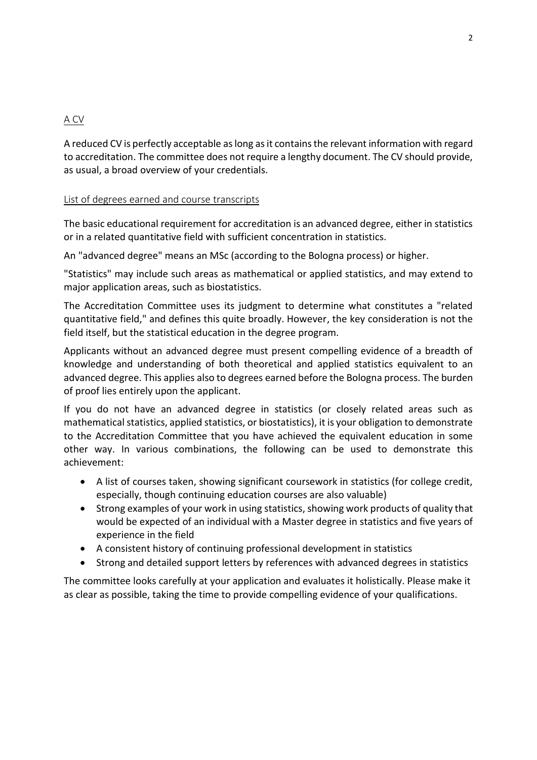# A CV

A reduced CV is perfectly acceptable as long as it contains the relevant information with regard to accreditation. The committee does not require a lengthy document. The CV should provide, as usual, a broad overview of your credentials.

#### List of degrees earned and course transcripts

The basic educational requirement for accreditation is an advanced degree, either in statistics or in a related quantitative field with sufficient concentration in statistics.

An "advanced degree" means an MSc (according to the Bologna process) or higher.

"Statistics" may include such areas as mathematical or applied statistics, and may extend to major application areas, such as biostatistics.

The Accreditation Committee uses its judgment to determine what constitutes a "related quantitative field," and defines this quite broadly. However, the key consideration is not the field itself, but the statistical education in the degree program.

Applicants without an advanced degree must present compelling evidence of a breadth of knowledge and understanding of both theoretical and applied statistics equivalent to an advanced degree. This applies also to degrees earned before the Bologna process. The burden of proof lies entirely upon the applicant.

If you do not have an advanced degree in statistics (or closely related areas such as mathematical statistics, applied statistics, or biostatistics), it is your obligation to demonstrate to the Accreditation Committee that you have achieved the equivalent education in some other way. In various combinations, the following can be used to demonstrate this achievement:

- A list of courses taken, showing significant coursework in statistics (for college credit, especially, though continuing education courses are also valuable)
- Strong examples of your work in using statistics, showing work products of quality that would be expected of an individual with a Master degree in statistics and five years of experience in the field
- A consistent history of continuing professional development in statistics
- Strong and detailed support letters by references with advanced degrees in statistics

The committee looks carefully at your application and evaluates it holistically. Please make it as clear as possible, taking the time to provide compelling evidence of your qualifications.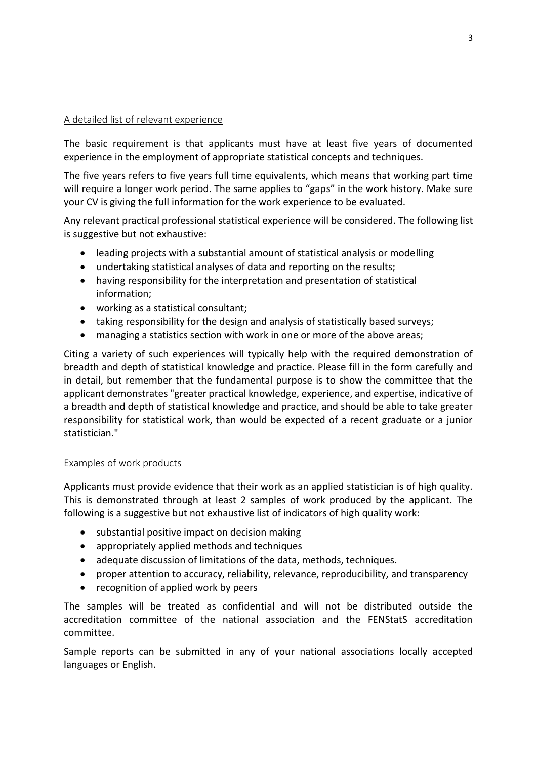## A detailed list of relevant experience

The basic requirement is that applicants must have at least five years of documented experience in the employment of appropriate statistical concepts and techniques.

The five years refers to five years full time equivalents, which means that working part time will require a longer work period. The same applies to "gaps" in the work history. Make sure your CV is giving the full information for the work experience to be evaluated.

Any relevant practical professional statistical experience will be considered. The following list is suggestive but not exhaustive:

- leading projects with a substantial amount of statistical analysis or modelling
- undertaking statistical analyses of data and reporting on the results;
- having responsibility for the interpretation and presentation of statistical information;
- working as a statistical consultant;
- taking responsibility for the design and analysis of statistically based surveys;
- managing a statistics section with work in one or more of the above areas;

Citing a variety of such experiences will typically help with the required demonstration of breadth and depth of statistical knowledge and practice. Please fill in the form carefully and in detail, but remember that the fundamental purpose is to show the committee that the applicant demonstrates "greater practical knowledge, experience, and expertise, indicative of a breadth and depth of statistical knowledge and practice, and should be able to take greater responsibility for statistical work, than would be expected of a recent graduate or a junior statistician."

## Examples of work products

Applicants must provide evidence that their work as an applied statistician is of high quality. This is demonstrated through at least 2 samples of work produced by the applicant. The following is a suggestive but not exhaustive list of indicators of high quality work:

- substantial positive impact on decision making
- appropriately applied methods and techniques
- adequate discussion of limitations of the data, methods, techniques.
- proper attention to accuracy, reliability, relevance, reproducibility, and transparency
- recognition of applied work by peers

The samples will be treated as confidential and will not be distributed outside the accreditation committee of the national association and the FENStatS accreditation committee.

Sample reports can be submitted in any of your national associations locally accepted languages or English.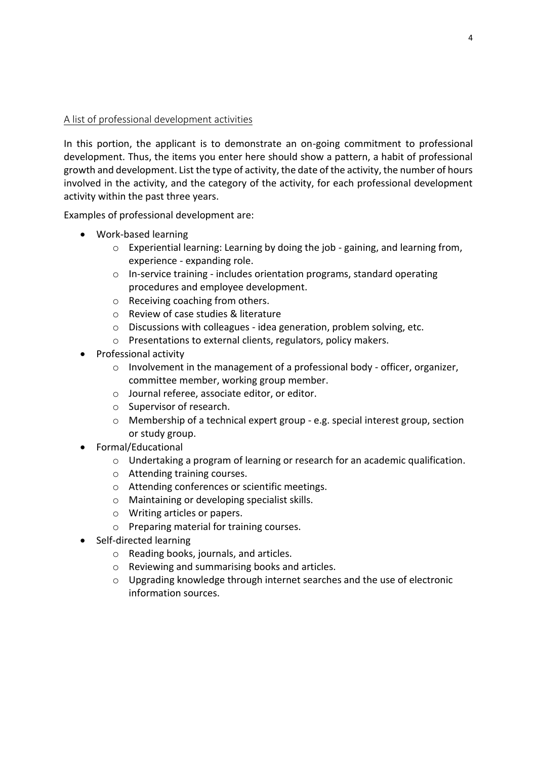## A list of professional development activities

In this portion, the applicant is to demonstrate an on-going commitment to professional development. Thus, the items you enter here should show a pattern, a habit of professional growth and development. List the type of activity, the date of the activity, the number of hours involved in the activity, and the category of the activity, for each professional development activity within the past three years.

Examples of professional development are:

- Work-based learning
	- $\circ$  Experiential learning: Learning by doing the job gaining, and learning from, experience - expanding role.
	- o In-service training includes orientation programs, standard operating procedures and employee development.
	- o Receiving coaching from others.
	- o Review of case studies & literature
	- o Discussions with colleagues idea generation, problem solving, etc.
	- o Presentations to external clients, regulators, policy makers.
- Professional activity
	- $\circ$  Involvement in the management of a professional body officer, organizer, committee member, working group member.
	- o Journal referee, associate editor, or editor.
	- o Supervisor of research.
	- $\circ$  Membership of a technical expert group e.g. special interest group, section or study group.
- Formal/Educational
	- $\circ$  Undertaking a program of learning or research for an academic qualification.
	- o Attending training courses.
	- o Attending conferences or scientific meetings.
	- o Maintaining or developing specialist skills.
	- o Writing articles or papers.
	- o Preparing material for training courses.
- Self-directed learning
	- o Reading books, journals, and articles.
	- o Reviewing and summarising books and articles.
	- $\circ$  Upgrading knowledge through internet searches and the use of electronic information sources.